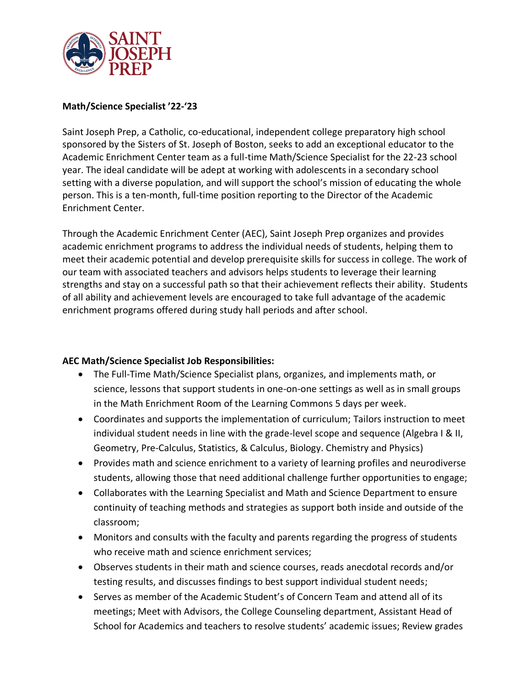

## **Math/Science Specialist '22-'23**

Saint Joseph Prep, a Catholic, co-educational, independent college preparatory high school sponsored by the Sisters of St. Joseph of Boston, seeks to add an exceptional educator to the Academic Enrichment Center team as a full-time Math/Science Specialist for the 22-23 school year. The ideal candidate will be adept at working with adolescents in a secondary school setting with a diverse population, and will support the school's mission of educating the whole person. This is a ten-month, full-time position reporting to the Director of the Academic Enrichment Center.

Through the Academic Enrichment Center (AEC), Saint Joseph Prep organizes and provides academic enrichment programs to address the individual needs of students, helping them to meet their academic potential and develop prerequisite skills for success in college. The work of our team with associated teachers and advisors helps students to leverage their learning strengths and stay on a successful path so that their achievement reflects their ability. Students of all ability and achievement levels are encouraged to take full advantage of the academic enrichment programs offered during study hall periods and after school.

## **AEC Math/Science Specialist Job Responsibilities:**

- The Full-Time Math/Science Specialist plans, organizes, and implements math, or science, lessons that support students in one-on-one settings as well as in small groups in the Math Enrichment Room of the Learning Commons 5 days per week.
- Coordinates and supports the implementation of curriculum; Tailors instruction to meet individual student needs in line with the grade-level scope and sequence (Algebra I & II, Geometry, Pre-Calculus, Statistics, & Calculus, Biology. Chemistry and Physics)
- Provides math and science enrichment to a variety of learning profiles and neurodiverse students, allowing those that need additional challenge further opportunities to engage;
- Collaborates with the Learning Specialist and Math and Science Department to ensure continuity of teaching methods and strategies as support both inside and outside of the classroom;
- Monitors and consults with the faculty and parents regarding the progress of students who receive math and science enrichment services;
- Observes students in their math and science courses, reads anecdotal records and/or testing results, and discusses findings to best support individual student needs;
- Serves as member of the Academic Student's of Concern Team and attend all of its meetings; Meet with Advisors, the College Counseling department, Assistant Head of School for Academics and teachers to resolve students' academic issues; Review grades